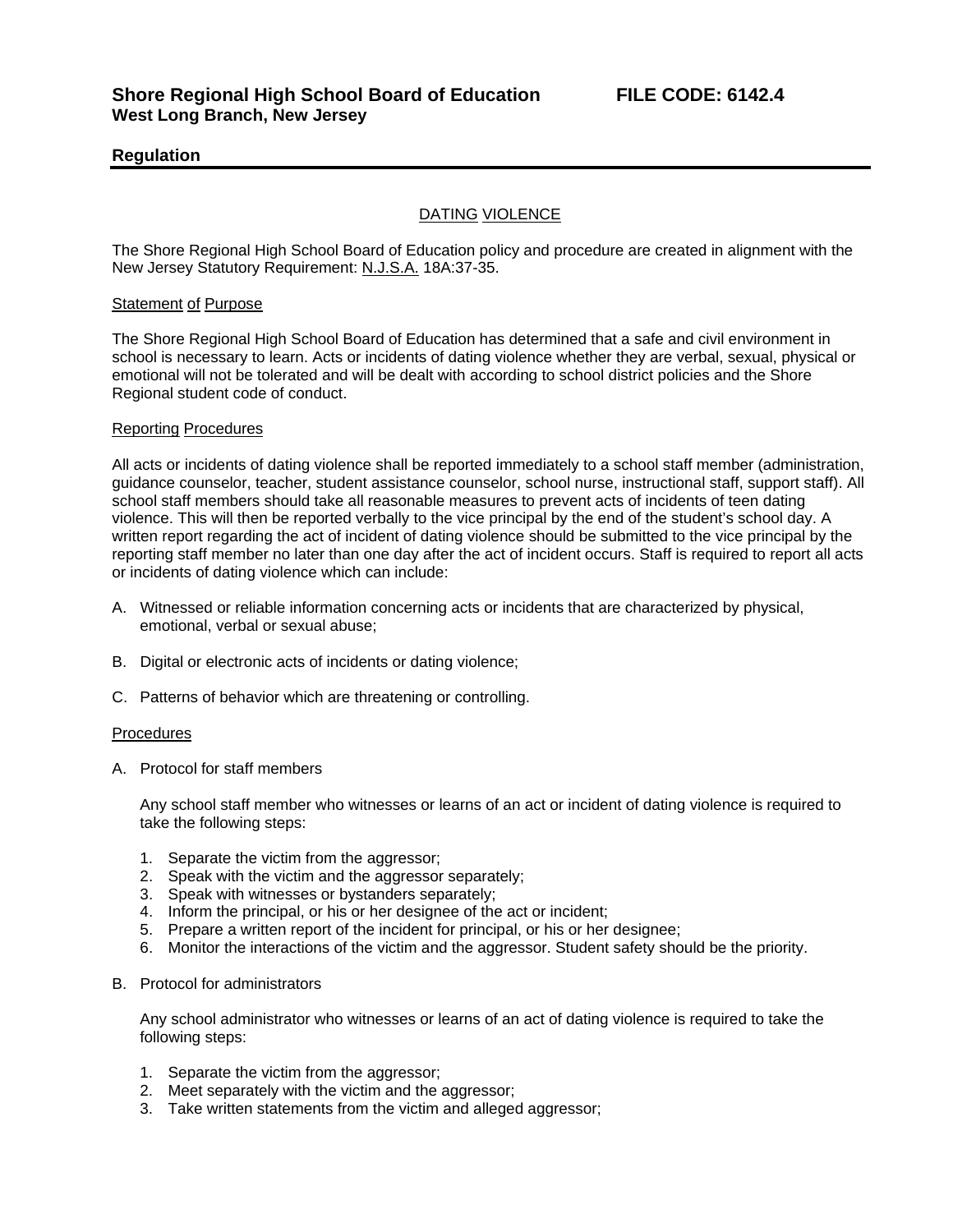# **Regulation**

# DATING VIOLENCE

The Shore Regional High School Board of Education policy and procedure are created in alignment with the New Jersey Statutory Requirement: N.J.S.A. 18A:37-35.

### Statement of Purpose

The Shore Regional High School Board of Education has determined that a safe and civil environment in school is necessary to learn. Acts or incidents of dating violence whether they are verbal, sexual, physical or emotional will not be tolerated and will be dealt with according to school district policies and the Shore Regional student code of conduct.

#### Reporting Procedures

All acts or incidents of dating violence shall be reported immediately to a school staff member (administration, guidance counselor, teacher, student assistance counselor, school nurse, instructional staff, support staff). All school staff members should take all reasonable measures to prevent acts of incidents of teen dating violence. This will then be reported verbally to the vice principal by the end of the student's school day. A written report regarding the act of incident of dating violence should be submitted to the vice principal by the reporting staff member no later than one day after the act of incident occurs. Staff is required to report all acts or incidents of dating violence which can include:

- A. Witnessed or reliable information concerning acts or incidents that are characterized by physical, emotional, verbal or sexual abuse;
- B. Digital or electronic acts of incidents or dating violence;
- C. Patterns of behavior which are threatening or controlling.

#### **Procedures**

A. Protocol for staff members

Any school staff member who witnesses or learns of an act or incident of dating violence is required to take the following steps:

- 1. Separate the victim from the aggressor;
- 2. Speak with the victim and the aggressor separately;
- 3. Speak with witnesses or bystanders separately;
- 4. Inform the principal, or his or her designee of the act or incident;
- 5. Prepare a written report of the incident for principal, or his or her designee;
- 6. Monitor the interactions of the victim and the aggressor. Student safety should be the priority.
- B. Protocol for administrators

Any school administrator who witnesses or learns of an act of dating violence is required to take the following steps:

- 1. Separate the victim from the aggressor;
- 2. Meet separately with the victim and the aggressor;
- 3. Take written statements from the victim and alleged aggressor;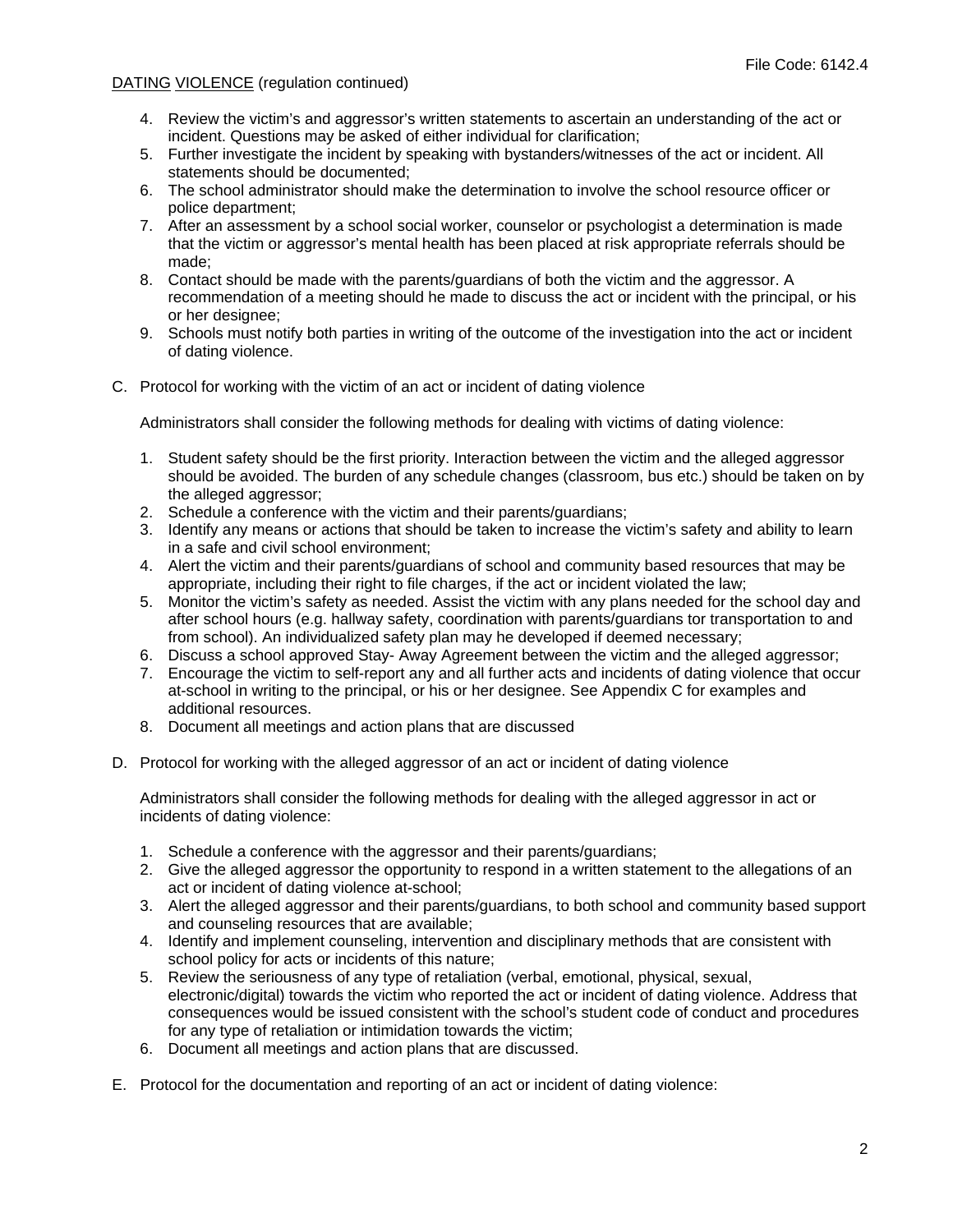- 4. Review the victim's and aggressor's written statements to ascertain an understanding of the act or incident. Questions may be asked of either individual for clarification;
- 5. Further investigate the incident by speaking with bystanders/witnesses of the act or incident. All statements should be documented;
- 6. The school administrator should make the determination to involve the school resource officer or police department;
- 7. After an assessment by a school social worker, counselor or psychologist a determination is made that the victim or aggressor's mental health has been placed at risk appropriate referrals should be made;
- 8. Contact should be made with the parents/guardians of both the victim and the aggressor. A recommendation of a meeting should he made to discuss the act or incident with the principal, or his or her designee;
- 9. Schools must notify both parties in writing of the outcome of the investigation into the act or incident of dating violence.
- C. Protocol for working with the victim of an act or incident of dating violence

Administrators shall consider the following methods for dealing with victims of dating violence:

- 1. Student safety should be the first priority. Interaction between the victim and the alleged aggressor should be avoided. The burden of any schedule changes (classroom, bus etc.) should be taken on by the alleged aggressor;
- 2. Schedule a conference with the victim and their parents/guardians;
- 3. Identify any means or actions that should be taken to increase the victim's safety and ability to learn in a safe and civil school environment;
- 4. Alert the victim and their parents/guardians of school and community based resources that may be appropriate, including their right to file charges, if the act or incident violated the law;
- 5. Monitor the victim's safety as needed. Assist the victim with any plans needed for the school day and after school hours (e.g. hallway safety, coordination with parents/guardians tor transportation to and from school). An individualized safety plan may he developed if deemed necessary;
- 6. Discuss a school approved Stay- Away Agreement between the victim and the alleged aggressor;
- 7. Encourage the victim to self-report any and all further acts and incidents of dating violence that occur at-school in writing to the principal, or his or her designee. See Appendix C for examples and additional resources.
- 8. Document all meetings and action plans that are discussed
- D. Protocol for working with the alleged aggressor of an act or incident of dating violence

Administrators shall consider the following methods for dealing with the alleged aggressor in act or incidents of dating violence:

- 1. Schedule a conference with the aggressor and their parents/guardians;
- 2. Give the alleged aggressor the opportunity to respond in a written statement to the allegations of an act or incident of dating violence at-school;
- 3. Alert the alleged aggressor and their parents/guardians, to both school and community based support and counseling resources that are available;
- 4. Identify and implement counseling, intervention and disciplinary methods that are consistent with school policy for acts or incidents of this nature;
- 5. Review the seriousness of any type of retaliation (verbal, emotional, physical, sexual, electronic/digital) towards the victim who reported the act or incident of dating violence. Address that consequences would be issued consistent with the school's student code of conduct and procedures for any type of retaliation or intimidation towards the victim;
- 6. Document all meetings and action plans that are discussed.
- E. Protocol for the documentation and reporting of an act or incident of dating violence: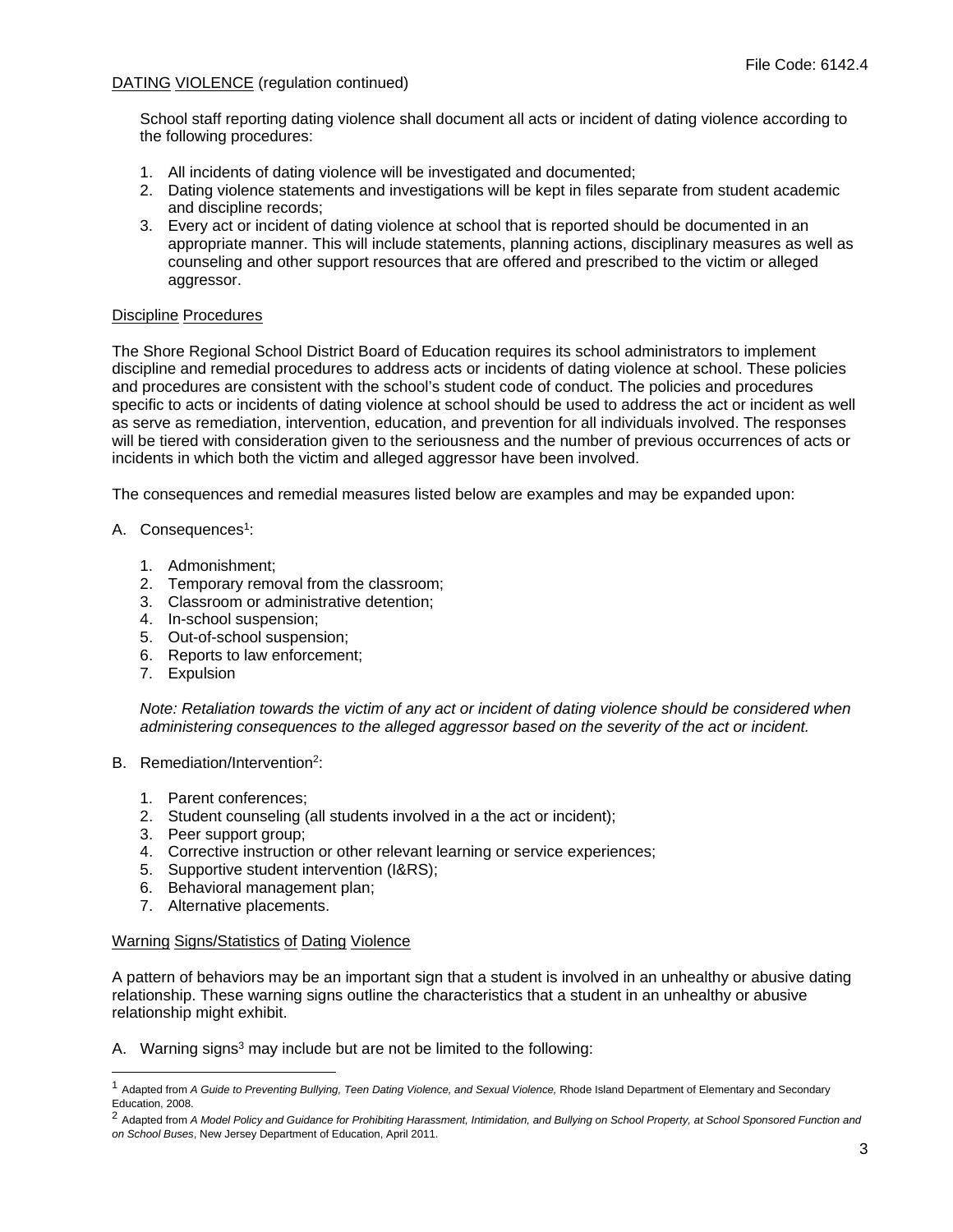School staff reporting dating violence shall document all acts or incident of dating violence according to the following procedures:

- 1. All incidents of dating violence will be investigated and documented;
- 2. Dating violence statements and investigations will be kept in files separate from student academic and discipline records;
- 3. Every act or incident of dating violence at school that is reported should be documented in an appropriate manner. This will include statements, planning actions, disciplinary measures as well as counseling and other support resources that are offered and prescribed to the victim or alleged aggressor.

## Discipline Procedures

The Shore Regional School District Board of Education requires its school administrators to implement discipline and remedial procedures to address acts or incidents of dating violence at school. These policies and procedures are consistent with the school's student code of conduct. The policies and procedures specific to acts or incidents of dating violence at school should be used to address the act or incident as well as serve as remediation, intervention, education, and prevention for all individuals involved. The responses will be tiered with consideration given to the seriousness and the number of previous occurrences of acts or incidents in which both the victim and alleged aggressor have been involved.

The consequences and remedial measures listed below are examples and may be expanded upon:

- A. Consequences<sup>1</sup>:
	- 1. Admonishment;
	- 2. Temporary removal from the classroom;
	- 3. Classroom or administrative detention;
	- 4. In-school suspension;
	- 5. Out-of-school suspension;
	- 6. Reports to law enforcement;
	- 7. Expulsion

1

*Note: Retaliation towards the victim of any act or incident of dating violence should be considered when administering consequences to the alleged aggressor based on the severity of the act or incident.* 

- B. Remediation/Intervention<sup>2</sup>:
	- 1. Parent conferences;
	- 2. Student counseling (all students involved in a the act or incident);
	- 3. Peer support group;
	- 4. Corrective instruction or other relevant learning or service experiences;
	- 5. Supportive student intervention (I&RS);
	- 6. Behavioral management plan;
	- 7. Alternative placements.

## Warning Signs/Statistics of Dating Violence

A pattern of behaviors may be an important sign that a student is involved in an unhealthy or abusive dating relationship. These warning signs outline the characteristics that a student in an unhealthy or abusive relationship might exhibit.

A. Warning signs<sup>3</sup> may include but are not be limited to the following:

<sup>1</sup> Adapted from *A Guide to Preventing Bullying, Teen Dating Violence, and Sexual Violence,* Rhode Island Department of Elementary and Secondary Education, 2008.

<sup>2</sup> Adapted from *A Model Policy and Guidance for Prohibiting Harassment, Intimidation, and Bullying on School Property, at School Sponsored Function and on School Buses*, New Jersey Department of Education, April 2011.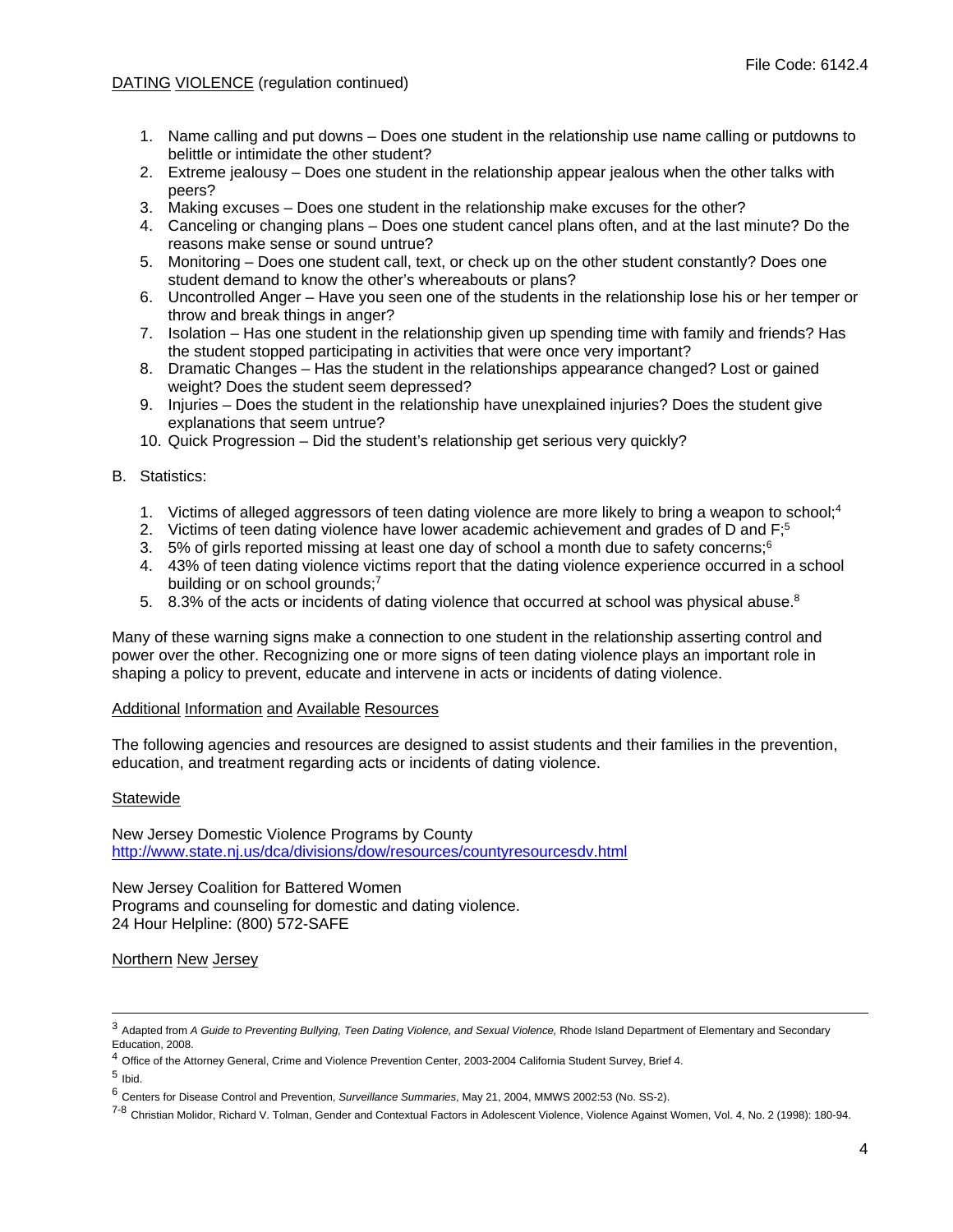- 1. Name calling and put downs Does one student in the relationship use name calling or putdowns to belittle or intimidate the other student?
- 2. Extreme jealousy Does one student in the relationship appear jealous when the other talks with peers?
- 3. Making excuses Does one student in the relationship make excuses for the other?
- 4. Canceling or changing plans Does one student cancel plans often, and at the last minute? Do the reasons make sense or sound untrue?
- 5. Monitoring Does one student call, text, or check up on the other student constantly? Does one student demand to know the other's whereabouts or plans?
- 6. Uncontrolled Anger Have you seen one of the students in the relationship lose his or her temper or throw and break things in anger?
- 7. Isolation Has one student in the relationship given up spending time with family and friends? Has the student stopped participating in activities that were once very important?
- 8. Dramatic Changes Has the student in the relationships appearance changed? Lost or gained weight? Does the student seem depressed?
- 9. Injuries Does the student in the relationship have unexplained injuries? Does the student give explanations that seem untrue?
- 10. Quick Progression Did the student's relationship get serious very quickly?

# B. Statistics:

- 1. Victims of alleged aggressors of teen dating violence are more likely to bring a weapon to school;<sup>4</sup>
- 2. Victims of teen dating violence have lower academic achievement and grades of D and  $F<sub>i</sub>5$
- 3. 5% of girls reported missing at least one day of school a month due to safety concerns;<sup>6</sup>
- 4. 43% of teen dating violence victims report that the dating violence experience occurred in a school building or on school grounds;<sup>7</sup>
- 5. 8.3% of the acts or incidents of dating violence that occurred at school was physical abuse.<sup>8</sup>

Many of these warning signs make a connection to one student in the relationship asserting control and power over the other. Recognizing one or more signs of teen dating violence plays an important role in shaping a policy to prevent, educate and intervene in acts or incidents of dating violence.

## Additional Information and Available Resources

The following agencies and resources are designed to assist students and their families in the prevention, education, and treatment regarding acts or incidents of dating violence.

## **Statewide**

New Jersey Domestic Violence Programs by County http://www.state.nj.us/dca/divisions/dow/resources/countyresourcesdv.html

New Jersey Coalition for Battered Women Programs and counseling for domestic and dating violence. 24 Hour Helpline: (800) 572-SAFE

Northern New Jersey

 <sup>3</sup> Adapted from *A Guide to Preventing Bullying, Teen Dating Violence, and Sexual Violence,* Rhode Island Department of Elementary and Secondary Education, 2008.

 $^4$  Office of the Attorney General, Crime and Violence Prevention Center, 2003-2004 California Student Survey, Brief 4.

 $5$  Ibid.

<sup>6</sup> Centers for Disease Control and Prevention, *Surveillance Summaries*, May 21, 2004, MMWS 2002:53 (No. SS-2).

<sup>7-8</sup> Christian Molidor, Richard V. Tolman, Gender and Contextual Factors in Adolescent Violence, Violence Against Women, Vol. 4, No. 2 (1998): 180-94.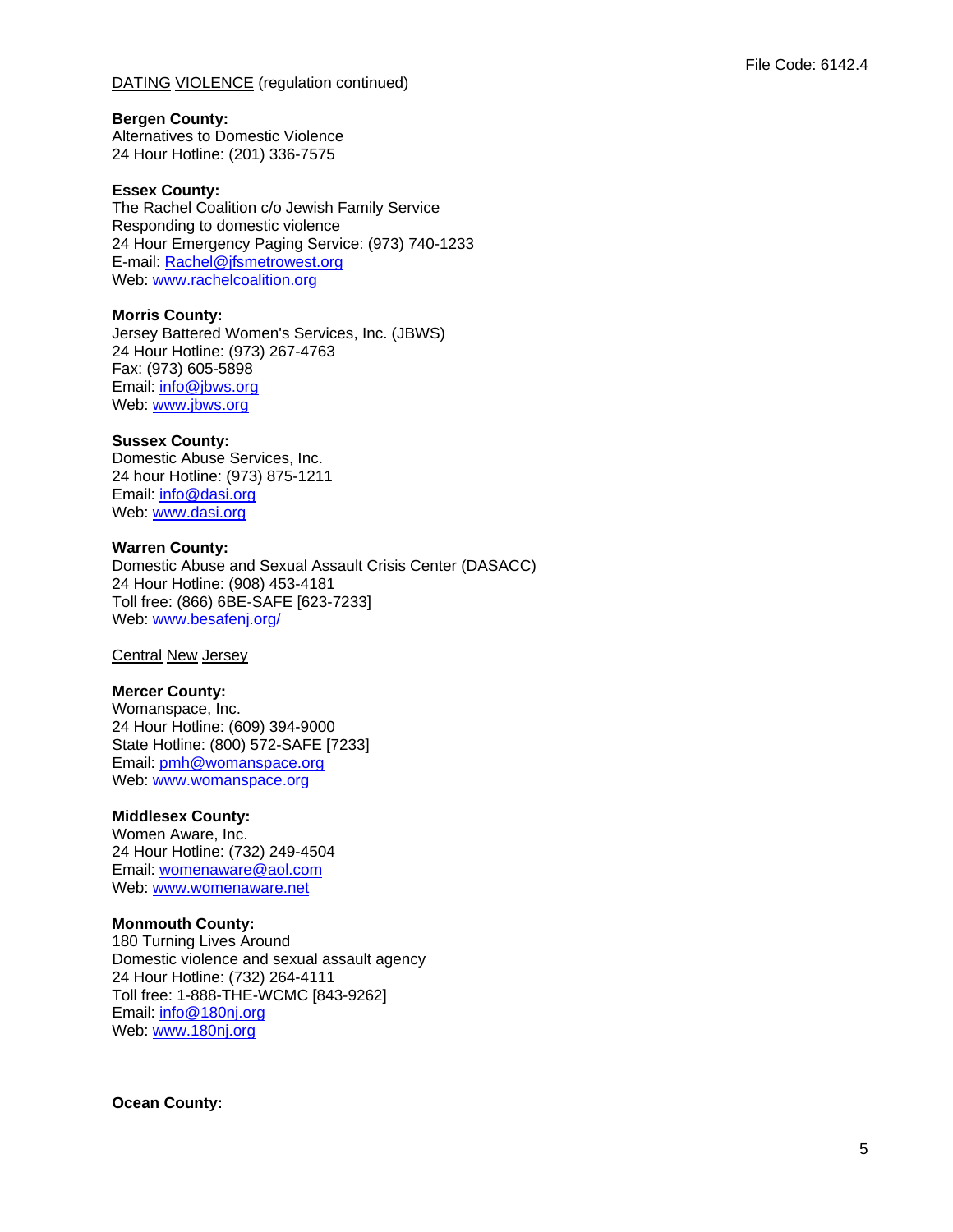## **Bergen County:**

Alternatives to Domestic Violence 24 Hour Hotline: (201) 336-7575

#### **Essex County:**

The Rachel Coalition c/o Jewish Family Service Responding to domestic violence 24 Hour Emergency Paging Service: (973) 740-1233 E-mail: Rachel@jfsmetrowest.org Web: www.rachelcoalition.org

#### **Morris County:**

Jersey Battered Women's Services, Inc. (JBWS) 24 Hour Hotline: (973) 267-4763 Fax: (973) 605-5898 Email: info@jbws.org Web: www.jbws.org

#### **Sussex County:**

Domestic Abuse Services, Inc. 24 hour Hotline: (973) 875-1211 Email: info@dasi.org Web: www.dasi.org

#### **Warren County:**

Domestic Abuse and Sexual Assault Crisis Center (DASACC) 24 Hour Hotline: (908) 453-4181 Toll free: (866) 6BE-SAFE [623-7233] Web: www.besafenj.org/

Central New Jersey

## **Mercer County:**

Womanspace, Inc. 24 Hour Hotline: (609) 394-9000 State Hotline: (800) 572-SAFE [7233] Email: pmh@womanspace.org Web: www.womanspace.org

## **Middlesex County:**

Women Aware, Inc. 24 Hour Hotline: (732) 249-4504 Email: womenaware@aol.com Web: www.womenaware.net

## **Monmouth County:**

180 Turning Lives Around Domestic violence and sexual assault agency 24 Hour Hotline: (732) 264-4111 Toll free: 1-888-THE-WCMC [843-9262] Email: info@180nj.org Web: www.180nj.org

## **Ocean County:**